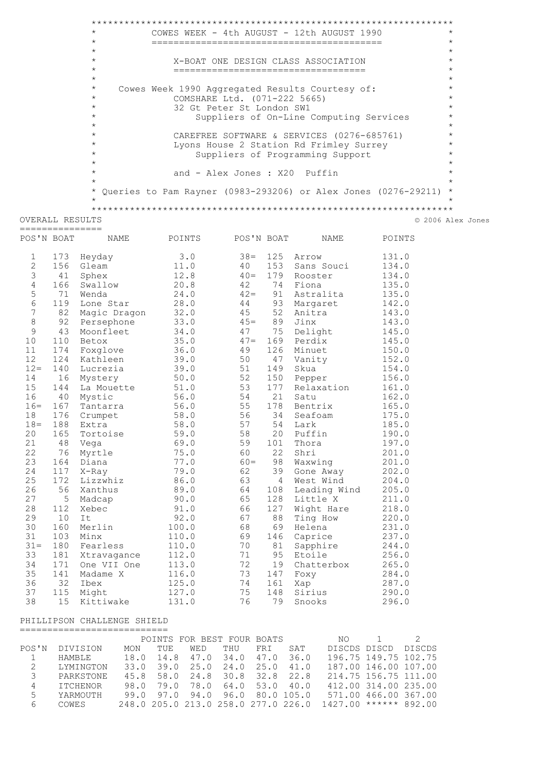|              |                 | $^{\star}$                                                       |                               |              |           | COWES WEEK - 4th AUGUST - 12th AUGUST 1990                     |                | $^{\star}$         |  |  |  |  |  |  |  |
|--------------|-----------------|------------------------------------------------------------------|-------------------------------|--------------|-----------|----------------------------------------------------------------|----------------|--------------------|--|--|--|--|--|--|--|
|              |                 | $^{\star}$                                                       |                               |              |           |                                                                |                | $^{\star}$         |  |  |  |  |  |  |  |
|              |                 | $^{\star}$                                                       |                               |              |           |                                                                |                | $\star$            |  |  |  |  |  |  |  |
|              |                 | $^{\star}$                                                       |                               |              |           | X-BOAT ONE DESIGN CLASS ASSOCIATION                            |                | $\star$<br>$\star$ |  |  |  |  |  |  |  |
|              |                 | $^\star$<br>______________________________________<br>$^{\star}$ |                               |              |           |                                                                |                |                    |  |  |  |  |  |  |  |
|              |                 |                                                                  |                               |              |           |                                                                |                |                    |  |  |  |  |  |  |  |
|              |                 | $^{\star}$                                                       |                               |              |           | Cowes Week 1990 Aggregated Results Courtesy of:                |                | $\star$            |  |  |  |  |  |  |  |
|              |                 | $^{\star}$<br>$\star$                                            | COMSHARE Ltd. (071-222 5665)  |              |           |                                                                |                | $\star$<br>$\star$ |  |  |  |  |  |  |  |
|              |                 | $^{\star}$                                                       | 32 Gt Peter St London SW1     |              |           |                                                                |                | $\star$            |  |  |  |  |  |  |  |
|              |                 | $^{\star}$                                                       |                               |              |           | Suppliers of On-Line Computing Services                        |                | $\star$            |  |  |  |  |  |  |  |
|              |                 | $^{\star}$                                                       |                               |              |           | CAREFREE SOFTWARE & SERVICES (0276-685761)                     |                | $\star$            |  |  |  |  |  |  |  |
|              |                 | $^{\star}$                                                       |                               |              |           | Lyons House 2 Station Rd Frimley Surrey                        |                | $\star$            |  |  |  |  |  |  |  |
|              |                 | $^{\star}$<br>Suppliers of Programming Support                   |                               |              |           |                                                                |                |                    |  |  |  |  |  |  |  |
|              |                 | $^{\star}$                                                       |                               |              |           |                                                                |                | $\star$            |  |  |  |  |  |  |  |
|              |                 | $\star$                                                          | and - Alex Jones : X20 Puffin |              |           |                                                                |                | $\star$            |  |  |  |  |  |  |  |
|              |                 | $\star$                                                          |                               |              |           |                                                                |                | $\star$            |  |  |  |  |  |  |  |
|              |                 | $\star$                                                          |                               |              |           | Queries to Pam Rayner (0983-293206) or Alex Jones (0276-29211) |                | $\star$<br>$\star$ |  |  |  |  |  |  |  |
|              |                 |                                                                  |                               |              |           |                                                                |                |                    |  |  |  |  |  |  |  |
|              | OVERALL RESULTS |                                                                  |                               |              |           |                                                                |                | © 2006 Alex Jones  |  |  |  |  |  |  |  |
|              | =============== |                                                                  |                               |              |           |                                                                |                |                    |  |  |  |  |  |  |  |
| POS'N BOAT   |                 | NAME                                                             | POINTS                        | POS'N BOAT   |           | NAME                                                           | POINTS         |                    |  |  |  |  |  |  |  |
| $\mathbf{1}$ | 173             | Heyday                                                           | 3.0                           | $38 =$       |           | 125 Arrow                                                      | 131.0          |                    |  |  |  |  |  |  |  |
| 2            |                 | 156 Gleam                                                        | 11.0                          | 40           | 153       | Sans Souci                                                     | 134.0          |                    |  |  |  |  |  |  |  |
| 3            | 41              | Sphex                                                            | 12.8                          | $40=$        |           | 179 Rooster                                                    | 134.0          |                    |  |  |  |  |  |  |  |
| 4            | 166             | Swallow                                                          | 20.8                          | 42           |           | 74 Fiona                                                       | 135.0          |                    |  |  |  |  |  |  |  |
| 5            | 71              | Wenda                                                            | 24.0                          | $42 =$       |           | 91 Astralita                                                   | 135.0          |                    |  |  |  |  |  |  |  |
| 6            |                 | 119 Lone Star                                                    | 28.0                          | 44           |           | 93 Margaret                                                    | 142.0          |                    |  |  |  |  |  |  |  |
| 7<br>8       | 92              | 82 Magic Dragon                                                  | 32.0<br>33.0                  | 45<br>$45=$  | 52<br>89  | Anitra<br>Jinx                                                 | 143.0<br>143.0 |                    |  |  |  |  |  |  |  |
| 9            | 43              | Persephone<br>Moonfleet                                          | 34.0                          | 47           | 75        | Delight                                                        | 145.0          |                    |  |  |  |  |  |  |  |
| 10           | 110             | Betox                                                            | 35.0                          | $47=$        |           | 169 Perdix                                                     | 145.0          |                    |  |  |  |  |  |  |  |
| 11           | 174             | Foxglove                                                         | 36.0                          | 49           | 126       | Minuet                                                         | 150.0          |                    |  |  |  |  |  |  |  |
| 12           | 124             | Kathleen                                                         | 39.0                          | 50           | 47        | Vanity                                                         | 152.0          |                    |  |  |  |  |  |  |  |
| $12 =$       | 140             | Lucrezia                                                         | 39.0                          | 51           | 149       | Skua                                                           | 154.0          |                    |  |  |  |  |  |  |  |
| 14           | 16              | Mystery                                                          | 50.0                          | 52           |           | 150 Pepper                                                     | 156.0          |                    |  |  |  |  |  |  |  |
| 15           | 144             | La Mouette                                                       | 51.0                          | 53           | 177       | Relaxation                                                     | 161.0          |                    |  |  |  |  |  |  |  |
| 16           | 40              | Mystic                                                           | 56.0                          | 54           | 21        | Satu                                                           | 162.0          |                    |  |  |  |  |  |  |  |
| $16=$        | 167             | Tantarra                                                         | 56.0                          | 55           |           | 178 Bentrix                                                    | 165.0          |                    |  |  |  |  |  |  |  |
| 18           | 176             | Crumpet                                                          | 58.0                          | 56           | 34        | Seafoam                                                        | 175.0          |                    |  |  |  |  |  |  |  |
| $18 =$       | 188             | Extra                                                            | 58.0                          | 57           | 54        | Lark                                                           | 185.0          |                    |  |  |  |  |  |  |  |
| 20           | 165             | Tortoise                                                         | 59.0                          | 58           | 20        | Puffin                                                         | 190.0          |                    |  |  |  |  |  |  |  |
| 21           | 48              | Vega                                                             | 69.0                          | 59           | 101       | Thora                                                          | 197.0          |                    |  |  |  |  |  |  |  |
| 22<br>23     | 76              | Myrtle                                                           | 75.0                          | 60<br>$60 =$ | 22        | Shri<br>Waxwing                                                | 201.0          |                    |  |  |  |  |  |  |  |
| 24           | 164<br>117      | Diana<br>$X$ -Ray                                                | 77.0<br>79.0                  | 62           | 98<br>39  |                                                                | 201.0<br>202.0 |                    |  |  |  |  |  |  |  |
| 25           | 172             | Lizzwhiz                                                         | 86.0                          | 63           | 4         | Gone Away<br>West Wind                                         | 204.0          |                    |  |  |  |  |  |  |  |
| 26           | 56              | Xanthus                                                          | 89.0                          | 64           | 108       | Leading Wind                                                   | 205.0          |                    |  |  |  |  |  |  |  |
| 27           | 5               | Madcap                                                           | 90.0                          | 65           | 128       | Little X                                                       | 211.0          |                    |  |  |  |  |  |  |  |
| 28           | 112             | Xebec                                                            | 91.0                          | 66           | 127       | Wight Hare                                                     | 218.0          |                    |  |  |  |  |  |  |  |
| 29           | 10              | It                                                               | 92.0                          | 67           | 88        | Ting How                                                       | 220.0          |                    |  |  |  |  |  |  |  |
| 30           | 160             | Merlin                                                           | 100.0                         | 68           | 69        | Helena                                                         | 231.0          |                    |  |  |  |  |  |  |  |
| 31           | 103             | Minx                                                             | 110.0                         | 69           | 146       | Caprice                                                        | 237.0          |                    |  |  |  |  |  |  |  |
| $31 =$       | 180             | Fearless                                                         | 110.0                         | 70           | 81        | Sapphire                                                       | 244.0          |                    |  |  |  |  |  |  |  |
| 33           | 181             | Xtravagance                                                      | 112.0                         | 71           | 95        | Etoile                                                         | 256.0          |                    |  |  |  |  |  |  |  |
| 34           | 171             | One VII One                                                      | 113.0                         | 72           | 19        | Chatterbox                                                     | 265.0          |                    |  |  |  |  |  |  |  |
| 35           | 141             | Madame X                                                         | 116.0                         | 73           | 147       | Foxy                                                           | 284.0          |                    |  |  |  |  |  |  |  |
| 36           | 32              | Ibex                                                             | 125.0                         | 74           | 161       | Xap                                                            | 287.0          |                    |  |  |  |  |  |  |  |
| 37<br>38     | 115             | Might                                                            | 127.0                         | 75           | 148<br>79 | Sirius                                                         | 290.0          |                    |  |  |  |  |  |  |  |
|              | 15              | Kittiwake                                                        | 131.0                         | 76           |           | Snooks                                                         | 296.0          |                    |  |  |  |  |  |  |  |
|              |                 | PHILLIPSON CHALLENGE SHIELD<br>============================      |                               |              |           |                                                                |                |                    |  |  |  |  |  |  |  |

|       |           |      |      |     | POINTS FOR BEST FOUR BOATS          |      |           | NO L                    |                      | $\mathcal{P}$ |
|-------|-----------|------|------|-----|-------------------------------------|------|-----------|-------------------------|----------------------|---------------|
| POS'N | DIVISION  | MON  | TUE. | WED | THU                                 | FR T | SAT       | DISCDS DISCD            |                      | DISCDS        |
|       | HAMBLE    | 18.0 | 14.8 |     | 47.0 34.0                           |      | 47.0 36.0 |                         | 196.75 149.75 102.75 |               |
| 2     | LYMINGTON |      |      |     | 33.0 39.0 25.0 24.0 25.0 41.0       |      |           |                         | 187.00 146.00 107.00 |               |
| 3     | PARKSTONE |      |      |     | 45.8 58.0 24.8 30.8 32.8 22.8       |      |           |                         | 214.75 156.75 111.00 |               |
| 4     | ITCHENOR  |      |      |     | 98.0 79.0 78.0 64.0 53.0 40.0       |      |           |                         | 412.00 314.00 235.00 |               |
| 5.    | YARMOUTH  |      |      |     | 99.0 97.0 94.0 96.0 80.0 105.0      |      |           |                         | 571.00 466.00 367.00 |               |
| 6     | COWES     |      |      |     | 248.0 205.0 213.0 258.0 277.0 226.0 |      |           | $1427.00$ ****** 892.00 |                      |               |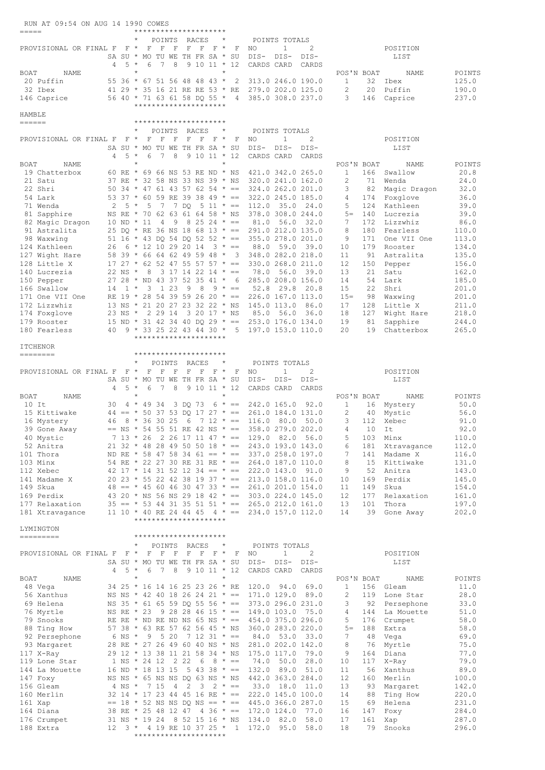|                  | RUN AT 09:54 ON AUG 14 1990 COWES                                                                                                  |   |                         |                  |                         |                        |              |                                |                |         |                                           |                                                 |                    |                                                                                                                      |                                  |           |                                                                                                                                     |                 |
|------------------|------------------------------------------------------------------------------------------------------------------------------------|---|-------------------------|------------------|-------------------------|------------------------|--------------|--------------------------------|----------------|---------|-------------------------------------------|-------------------------------------------------|--------------------|----------------------------------------------------------------------------------------------------------------------|----------------------------------|-----------|-------------------------------------------------------------------------------------------------------------------------------------|-----------------|
| =====            |                                                                                                                                    |   |                         |                  |                         | POINTS                 |              | *********************<br>RACES |                | $\star$ |                                           |                                                 | POINTS TOTALS      |                                                                                                                      |                                  |           |                                                                                                                                     |                 |
|                  | PROVISIONAL OR FINAL F F * F                                                                                                       |   |                         |                  |                         | F                      | $\mathbb{F}$ | $F$ $F$ $F$ $*$                |                |         | $\mathbb{F}$                              | NO                                              | $\mathbf{1}$       | 2                                                                                                                    |                                  |           | POSITION                                                                                                                            |                 |
|                  |                                                                                                                                    |   |                         |                  |                         |                        |              | SA SU * MO TU WE TH FR SA * SU |                |         |                                           |                                                 | DIS-DIS-           | DIS-                                                                                                                 |                                  |           | LIST                                                                                                                                |                 |
|                  |                                                                                                                                    | 4 | 5 *                     |                  | 6                       | $\overline{7}$         | 8            |                                | $9 10 11 * 12$ |         |                                           | CARDS CARD                                      |                    | CARDS                                                                                                                |                                  |           |                                                                                                                                     |                 |
| BOAT             | NAME<br>20 Puffin                                                                                                                  |   |                         |                  |                         |                        |              | 55 36 * 67 51 56 48 48 43 *    |                |         | 2                                         |                                                 |                    | 313.0 246.0 190.0                                                                                                    | POS'N BOAT<br>$\mathbf{1}$       | 32        | NAME<br>Ibex                                                                                                                        | POINTS<br>125.0 |
|                  | 32 Ibex                                                                                                                            |   |                         |                  |                         |                        |              |                                |                |         | 41 29 * 35 16 21 RE RE 53 * RE            |                                                 |                    | 279.0 202.0 125.0                                                                                                    | 2                                |           | 20 Puffin                                                                                                                           | 190.0           |
|                  | 146 Caprice                                                                                                                        |   |                         |                  |                         |                        |              |                                |                |         | 56 40 * 71 63 61 58 DQ 55 * 4             |                                                 |                    | 385.0 308.0 237.0                                                                                                    | 3                                | 146       | Caprice                                                                                                                             | 237.0           |
|                  |                                                                                                                                    |   |                         |                  |                         |                        |              | *********************          |                |         |                                           |                                                 |                    |                                                                                                                      |                                  |           |                                                                                                                                     |                 |
| HAMBLE<br>====== |                                                                                                                                    |   |                         |                  |                         |                        |              | *********************          |                |         |                                           |                                                 |                    |                                                                                                                      |                                  |           |                                                                                                                                     |                 |
|                  |                                                                                                                                    |   |                         | $\star$          |                         | POINTS                 |              | RACES                          |                | $\star$ |                                           |                                                 | POINTS TOTALS      |                                                                                                                      |                                  |           |                                                                                                                                     |                 |
|                  | PROVISIONAL OR FINAL F F *                                                                                                         |   |                         |                  | $\mathbb F$             | F                      | $\mathbb{F}$ | $F$ $F$ $F$ $*$                |                |         | – F                                       | NO                                              | $\mathbf{1}$       | 2                                                                                                                    |                                  |           | POSITION                                                                                                                            |                 |
|                  |                                                                                                                                    |   |                         |                  |                         |                        |              | SA SU * MO TU WE TH FR SA * SU |                |         |                                           | DIS-                                            | DIS-               | DIS-                                                                                                                 |                                  |           | LIST                                                                                                                                |                 |
|                  |                                                                                                                                    | 4 |                         | $5 *$<br>$\star$ | 6                       | 7 8                    |              | $9\ 10\ 11 \ * \ 12$           |                | $\star$ |                                           | CARDS CARD                                      |                    | CARDS                                                                                                                |                                  |           |                                                                                                                                     |                 |
| BOAT             | NAME<br>19 Chatterbox                                                                                                              |   |                         |                  |                         |                        |              |                                |                |         |                                           |                                                 |                    | 60 RE * 69 66 NS 53 RE ND * NS 421.0 342.0 265.0                                                                     | POS'N BOAT<br>$\mathbf{1}$       |           | NAME<br>166 Swallow                                                                                                                 | POINTS<br>20.8  |
|                  | 21 Satu                                                                                                                            |   |                         |                  |                         |                        |              |                                |                |         |                                           |                                                 |                    | 37 RE * 32 58 NS 33 NS 39 * NS 320.0 241.0 162.0                                                                     | 2                                | 71        | Wenda                                                                                                                               | 24.0            |
|                  | 22 Shri                                                                                                                            |   |                         |                  |                         |                        |              |                                |                |         |                                           |                                                 |                    | 50 34 * 47 61 43 57 62 54 * == 324.0 262.0 201.0                                                                     | 3                                |           | 82 Magic Dragon                                                                                                                     | 32.0            |
|                  | 54 Lark                                                                                                                            |   |                         |                  |                         |                        |              |                                |                |         |                                           |                                                 |                    | 53 37 * 60 59 RE 39 38 49 * == 322.0 245.0 185.0                                                                     | 4                                | 174       | Foxglove                                                                                                                            | 36.0            |
|                  | 71 Wenda<br>81 Sapphire                                                                                                            |   | $2 \t 5 \t \times \t 5$ |                  |                         |                        |              |                                |                |         | NS RE * 70 62 63 61 64 58 * NS            | 7 7 DQ 5 11 $* == 112.0$                        |                    | 35.0 24.0<br>378.0 308.0 244.0                                                                                       | 5<br>$5 =$                       | 140       | 124 Kathleen<br>Lucrezia                                                                                                            | 39.0<br>39.0    |
|                  | 82 Magic Dragon                                                                                                                    |   | $10 \, \text{ND}$ * 11  |                  |                         | $\overline{4}$         |              |                                |                |         | $9 \t 8 \t 25 \t 24 \t \cdot \t ==$       | 81.0                                            |                    | 56.0 32.0                                                                                                            | 7                                |           | 172 Lizzwhiz                                                                                                                        | 86.0            |
|                  | 91 Astralita                                                                                                                       |   |                         |                  |                         |                        |              |                                |                |         |                                           |                                                 |                    | 25 DQ * RE 36 NS 18 68 13 * == 291.0 212.0 135.0                                                                     | 8                                |           | 180 Fearless                                                                                                                        | 110.0           |
|                  | 98 Waxwing                                                                                                                         |   |                         |                  |                         |                        |              |                                |                |         | 51 16 * 43 DQ 54 DQ 52 52 * ==            |                                                 |                    | 355.0 278.0 201.0                                                                                                    | 9                                | 171       | One VII One                                                                                                                         | 113.0           |
|                  | 124 Kathleen<br>127 Wight Hare                                                                                                     |   |                         |                  |                         |                        |              | 26 6 * 12 10 29 20 14          |                |         | $3 * ==$<br>58 39 * 66 64 62 49 59 48 * 3 | 88.0                                            |                    | 59.0 39.0<br>348.0 282.0 218.0                                                                                       | 10<br>11                         | 179<br>91 | Rooster<br>Astralita                                                                                                                | 134.0<br>135.0  |
|                  | 128 Little X                                                                                                                       |   |                         |                  |                         |                        |              |                                |                |         | $17$ 27 * 62 52 47 55 57 57 * ==          |                                                 |                    | 330.0 268.0 211.0                                                                                                    | 12                               | 150       | Pepper                                                                                                                              | 156.0           |
|                  | 140 Lucrezia                                                                                                                       |   | 22 NS * 8               |                  |                         |                        |              |                                |                |         | $3$ 17 14 22 14 $* ==$                    | 78.0                                            |                    | 56.0 39.0                                                                                                            | 13                               | 21        | Satu                                                                                                                                | 162.0           |
|                  | 150 Pepper                                                                                                                         |   |                         |                  |                         |                        |              |                                |                |         | $9 * =$                                   | 27 28 * ND 43 37 52 35 41 * 6 285.0 208.0 156.0 |                    |                                                                                                                      | 14                               | 54        | Lark                                                                                                                                | 185.0           |
|                  | 166 Swallow<br>171 One VII One                                                                                                     |   | $14 \quad 1$ *          |                  | $\overline{\mathbf{3}}$ |                        | 1 23         | 98                             |                |         | RE 19 $*$ 28 54 39 59 26 20 $* ==$        |                                                 |                    | 52.8 29.8 20.8<br>226.0 167.0 113.0                                                                                  | 15<br>$15 -$                     | 22<br>98  | Shri<br>Waxwing                                                                                                                     | 201.0<br>201.0  |
|                  | 172 Lizzwhiz                                                                                                                       |   |                         |                  |                         |                        |              |                                |                |         |                                           |                                                 |                    | 13 NS * 21 20 27 23 32 22 * NS 145.0 113.0 86.0                                                                      | 17                               | 128       | Little X                                                                                                                            | 211.0           |
|                  | 174 Foxglove                                                                                                                       |   |                         |                  |                         |                        |              | 23 NS * 2 29 14 3 20 17 * NS   |                |         |                                           | 85.0                                            |                    | 56.0 36.0                                                                                                            | 18                               | 127       | Wight Hare                                                                                                                          | 218.0           |
|                  | 179 Rooster                                                                                                                        |   |                         |                  |                         |                        |              |                                |                |         |                                           |                                                 |                    | 15 ND * 31 42 34 40 DQ 29 * == 253.0 176.0 134.0                                                                     | 19                               | 81        | Sapphire                                                                                                                            | 244.0           |
|                  | 180 Fearless                                                                                                                       |   |                         |                  |                         |                        |              | *********************          |                |         |                                           |                                                 |                    | 40 9 * 33 25 22 43 44 30 * 5 197.0 153.0 110.0                                                                       | 20                               | 19        | Chatterbox                                                                                                                          | 265.0           |
|                  | <b>ITCHENOR</b>                                                                                                                    |   |                         |                  |                         |                        |              |                                |                |         |                                           |                                                 |                    |                                                                                                                      |                                  |           |                                                                                                                                     |                 |
|                  | ========                                                                                                                           |   |                         |                  |                         |                        |              | *********************          |                |         |                                           |                                                 |                    |                                                                                                                      |                                  |           |                                                                                                                                     |                 |
|                  | PROVISIONAL OR FINAL F F *                                                                                                         |   |                         | $^\star$         | F                       | POINTS<br>$\mathbf{F}$ | $\mathbb{F}$ | RACES<br>$F$ $F$ $F$ $*$       |                | $\star$ | – F                                       | NO                                              | POINTS TOTALS<br>1 | 2                                                                                                                    |                                  |           | POSITION                                                                                                                            |                 |
|                  |                                                                                                                                    |   |                         |                  |                         |                        |              | SA SU * MO TU WE TH FR SA * SU |                |         |                                           |                                                 | DIS- DIS-          | DIS-                                                                                                                 |                                  |           | LIST                                                                                                                                |                 |
|                  |                                                                                                                                    | 4 |                         | $5 *$            | 6                       | 7                      | 8            |                                | $91011 * 12$   |         |                                           |                                                 | CARDS CARD         | CARDS                                                                                                                |                                  |           |                                                                                                                                     |                 |
| BOAT             | NAME                                                                                                                               |   |                         | $\star$          |                         |                        |              |                                |                | $\star$ |                                           |                                                 |                    |                                                                                                                      | POS'N BOAT                       |           | NAME                                                                                                                                | POINTS          |
| 10 It            | 15 Kittiwake                                                                                                                       |   |                         |                  | 30 4 * 49 34            |                        |              | 3 DQ 73                        |                |         |                                           |                                                 |                    | $6 * == 242.0 165.0 92.0$<br>$44 == * 50 37 53 DQ 17 27 * == 261.0 184.0 131.0$                                      | $\mathbf{1}$<br>2                |           | 16 Mystery<br>40 Mystic                                                                                                             | 50.0<br>56.0    |
|                  | 16 Mystery                                                                                                                         |   |                         |                  |                         |                        |              |                                |                |         |                                           |                                                 |                    | 46 8 $\star$ 36 30 25 6 7 12 $\star$ == 116.0 80.0 50.0                                                              | 3                                | 112       | Xebec                                                                                                                               | 91.0            |
|                  | 39 Gone Away                                                                                                                       |   |                         |                  |                         |                        |              |                                |                |         |                                           |                                                 |                    | == NS * 54 55 51 RE 42 NS * == 358.0 279.0 202.0 4 10 It                                                             |                                  |           |                                                                                                                                     | 92.0            |
|                  | 40 Mystic                                                                                                                          |   |                         |                  |                         |                        |              |                                |                |         |                                           |                                                 |                    | 7 13 * 26 2 26 17 11 47 * == 129.0 82.0 56.0                                                                         | 5                                |           | 103 Minx                                                                                                                            | 110.0           |
|                  | 52 Anitra<br>101 Thora                                                                                                             |   |                         |                  |                         |                        |              |                                |                |         |                                           |                                                 |                    | $21$ 32 * 48 28 49 50 50 18 * == 243.0 193.0 143.0<br>ND RE * 58 47 58 34 61 == * == 337.0 258.0 197.0               | 6 <sup>6</sup><br>$\overline{7}$ |           | 181 Xtravagance<br>141 Madame X                                                                                                     | 112.0<br>116.0  |
|                  | 103 Minx                                                                                                                           |   |                         |                  |                         |                        |              |                                |                |         |                                           |                                                 |                    | 54 RE * 22 27 30 RE 31 RE * == 264.0 187.0 110.0                                                                     | 8                                |           | 15 Kittiwake                                                                                                                        | 131.0           |
|                  | 112 Xebec                                                                                                                          |   |                         |                  |                         |                        |              |                                |                |         |                                           |                                                 |                    | $42$ 17 * 14 31 52 12 34 == * == 222.0 143.0 91.0                                                                    | 9                                |           | 52 Anitra                                                                                                                           | 143.0           |
|                  | 141 Madame X                                                                                                                       |   |                         |                  |                         |                        |              |                                |                |         |                                           |                                                 |                    | $20\ 23 \times 55\ 22\ 42\ 38\ 19\ 37 \times 7 = 213.0\ 158.0\ 116.0$<br>$48 == * 456046304733 * == 261.0201.0154.0$ | 10<br>11                         | 149       | 169 Perdix<br>Skua                                                                                                                  | 145.0<br>154.0  |
|                  | 149 Skua<br>169 Perdix                                                                                                             |   |                         |                  |                         |                        |              |                                |                |         |                                           |                                                 |                    | 43 20 * NS 56 NS 29 18 42 * == 303.0 224.0 145.0                                                                     | 12                               | 177       | Relaxation                                                                                                                          | 161.0           |
|                  | 177 Relaxation 35 == * 53 44 31 35 51 51 * == 265.0 212.0 161.0<br>181 Xtravagance 11 10 * 40 RE 24 44 45 4 * == 234.0 157.0 112.0 |   |                         |                  |                         |                        |              |                                |                |         |                                           |                                                 |                    |                                                                                                                      | 13                               | 101       | Thora                                                                                                                               | 197.0           |
|                  |                                                                                                                                    |   |                         |                  |                         |                        |              |                                |                |         |                                           |                                                 |                    |                                                                                                                      | 14                               |           | 39 Gone Away                                                                                                                        | 202.0           |
|                  | LYMINGTON                                                                                                                          |   |                         |                  |                         |                        |              | *********************          |                |         |                                           |                                                 |                    |                                                                                                                      |                                  |           |                                                                                                                                     |                 |
|                  | =========                                                                                                                          |   |                         |                  |                         |                        |              | *********************          |                |         |                                           |                                                 |                    |                                                                                                                      |                                  |           |                                                                                                                                     |                 |
|                  |                                                                                                                                    |   |                         | $\star$          |                         |                        |              | POINTS RACES *                 |                |         |                                           | POINTS TOTALS                                   |                    |                                                                                                                      |                                  |           |                                                                                                                                     |                 |
|                  | PROVISIONAL OR FINAL F F * F F F F F F F * F NO                                                                                    |   |                         |                  |                         |                        |              |                                |                |         |                                           |                                                 | $\mathbf{1}$       | $\overline{2}$                                                                                                       |                                  |           | POSITION                                                                                                                            |                 |
|                  |                                                                                                                                    |   |                         |                  |                         |                        |              |                                |                |         | 4 5 * 6 7 8 9 10 11 * 12                  | SA SU * MO TU WE TH FR SA * SU DIS- DIS- DIS-   |                    | CARDS CARD CARDS                                                                                                     |                                  |           | LIST                                                                                                                                |                 |
| BOAT             | NAME                                                                                                                               |   |                         | $\star$          |                         |                        |              |                                |                | $\star$ |                                           |                                                 |                    |                                                                                                                      |                                  |           | POS'N BOAT NAME                                                                                                                     | POINTS          |
|                  | 48 Veqa                                                                                                                            |   |                         |                  |                         |                        |              |                                |                |         |                                           |                                                 |                    | 34 25 * 16 14 16 25 23 26 * RE 120.0 94.0 69.0                                                                       | $\sim$ 1                         |           | 156 Gleam                                                                                                                           | 11.0            |
|                  | 56 Xanthus<br>69 Helena                                                                                                            |   |                         |                  |                         |                        |              |                                |                |         |                                           |                                                 |                    |                                                                                                                      |                                  |           | NS NS * 42 40 18 26 24 21 * == 171.0 129.0 89.0 2 119 Lone Star<br>NS 35 * 61 65 59 DQ 55 56 * == 373.0 296.0 231.0 3 92 Persephone | 28.0<br>33.0    |
|                  | 76 Myrtle                                                                                                                          |   |                         |                  |                         |                        |              |                                |                |         |                                           |                                                 |                    | NS RE * 23 9 28 28 46 15 * == 149.0 103.0 75.0                                                                       | 4                                |           | 144 La Mouette                                                                                                                      | 51.0            |
|                  | 79 Snooks                                                                                                                          |   |                         |                  |                         |                        |              |                                |                |         |                                           |                                                 |                    | RE RE * ND RE ND NS 65 NS * == 454.0 375.0 296.0                                                                     | 5                                |           | 176 Crumpet                                                                                                                         | 58.0            |
|                  | 88 Ting How                                                                                                                        |   |                         |                  |                         |                        |              |                                |                |         |                                           |                                                 |                    | 57 38 * 63 RE 57 62 56 45 * NS 360.0 283.0 220.0                                                                     | $5 =$                            |           | 188 Extra                                                                                                                           | 58.0            |
|                  | 92 Persephone<br>93 Margaret                                                                                                       |   |                         |                  |                         |                        |              |                                |                |         | 6 NS * 9 5 20 7 12 31 * ==                |                                                 |                    | 84.0 53.0 33.0<br>28 RE * 27 26 49 60 40 NS * NS 281.0 202.0 142.0                                                   | $7\phantom{.0}$<br>8             | 48        | Veqa<br>76 Myrtle                                                                                                                   | 69.0<br>75.0    |
|                  | 117 X-Ray                                                                                                                          |   |                         |                  |                         |                        |              |                                |                |         |                                           |                                                 |                    | 29 12 * 13 38 11 21 58 34 * NS 175.0 117.0 79.0                                                                      | 9                                | 164       | Diana                                                                                                                               | 77.0            |
|                  | 119 Lone Star 1 NS * 24 12 2 22 6 8 * ==<br>144 La Mouette 16 ND * 18 13 15 5 43 38 * ==                                           |   |                         |                  |                         |                        |              |                                |                |         |                                           |                                                 |                    | 74.0 50.0 28.0                                                                                                       | 10                               | 117       | X-Ray                                                                                                                               | 79.0            |
|                  |                                                                                                                                    |   |                         |                  |                         |                        |              |                                |                |         |                                           |                                                 |                    | $16 \text{ ND } \star 18 13 15 5 43 38 \star == 132.0 89.0 51.0$                                                     | 11                               |           | 56 Xanthus                                                                                                                          | 89.0            |
|                  | 147 Foxy<br>156 Gleam                                                                                                              |   |                         |                  |                         |                        |              |                                |                |         |                                           |                                                 |                    | NS NS * 65 NS NS DQ 63 NS * NS 442.0 363.0 284.0<br>4 NS * 7 15 4 2 3 2 * == 33.0 18.0 11.0                          | 12<br>13                         |           | 160 Merlin<br>93 Margaret                                                                                                           | 100.0<br>142.0  |
|                  | 160 Merlin                                                                                                                         |   |                         |                  |                         |                        |              |                                |                |         |                                           |                                                 |                    |                                                                                                                      | 14                               |           | 88 Ting How                                                                                                                         | 220.0           |
|                  | 161 Xap                                                                                                                            |   |                         |                  |                         |                        |              |                                |                |         |                                           |                                                 |                    | 32 14 * 17 23 44 45 16 RE * == 222.0 145.0 100.0<br>== 18 * 52 NS NS DQ NS == * == 445.0 366.0 287.0                 | 15                               | 69        | Helena                                                                                                                              | 231.0           |
|                  | 164 Diana                                                                                                                          |   |                         |                  |                         |                        |              |                                |                |         |                                           |                                                 |                    | 38 RE * 25 48 12 47 4 36 * == 172.0 124.0 77.0                                                                       | 16                               | 147       | Foxy                                                                                                                                | 284.0           |
|                  | 176 Crumpet<br>188 Extra                                                                                                           |   |                         |                  |                         |                        |              |                                |                |         |                                           |                                                 |                    | 31 NS * 19 24 8 52 15 16 * NS 134.0 82.0 58.0<br>12 3 * 4 19 RE 10 37 25 * 1 172.0 95.0 58.0                         | 17<br>18                         | 161<br>79 | Xap<br>Snooks                                                                                                                       | 287.0<br>296.0  |
|                  |                                                                                                                                    |   |                         |                  |                         |                        |              | *********************          |                |         |                                           |                                                 |                    |                                                                                                                      |                                  |           |                                                                                                                                     |                 |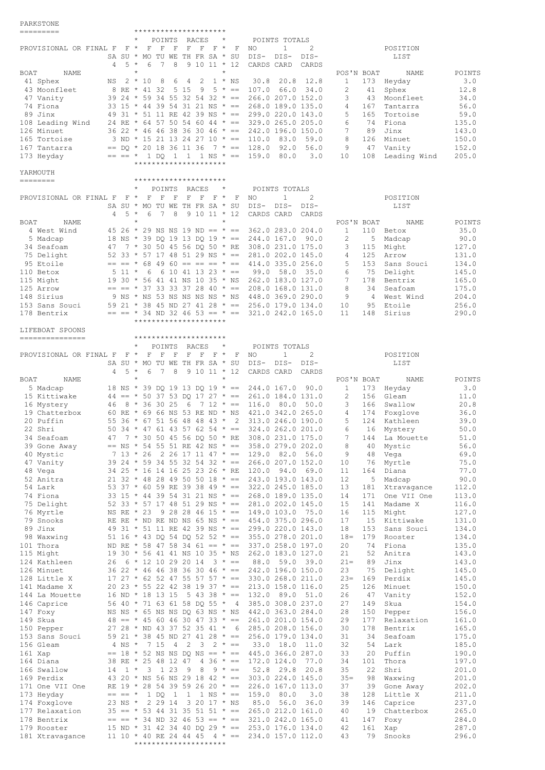## PARKSTONE

| =========                          |            | *********************                                  |                                          |             |                                                                                                              |                       |                          |                |
|------------------------------------|------------|--------------------------------------------------------|------------------------------------------|-------------|--------------------------------------------------------------------------------------------------------------|-----------------------|--------------------------|----------------|
|                                    |            | POINTS RACES                                           | $^{\star}$                               |             | POINTS TOTALS                                                                                                |                       |                          |                |
| PROVISIONAL OR FINAL F F *         |            | $\mathbb{F}$                                           | FFFFFF*FNO                               |             | $\mathbf{1}$<br>2                                                                                            |                       | POSITION                 |                |
|                                    |            | SA SU * MO TU WE TH FR SA * SU                         |                                          |             | DIS-<br>$DIS-$<br>$DIS-$                                                                                     |                       | LIST                     |                |
| BOAT<br>NAME                       | $5 *$<br>4 | 7<br>8<br>6<br>$\star$                                 | $91011 * 12$<br>$\star$                  |             | CARDS CARD<br>CARDS                                                                                          | POS'N BOAT            | NAME                     | POINTS         |
| 41 Sphex                           | NS         | $2 * 10$<br>8<br>6                                     | 2<br>$1 * NS$<br>4                       |             | 30.8<br>20.8<br>12.8                                                                                         | $\mathbf{1}$          | 173 Heyday               | 3.0            |
| 43 Moonfleet                       |            | 8 RE * 41 32 5 15                                      | $9 \quad 5 \quad * \quad == \quad 107.0$ |             | 66.0<br>34.0                                                                                                 | 2<br>41               | Sphex                    | 12.8           |
| 47 Vanity                          |            |                                                        |                                          |             | 39 24 * 59 34 55 32 54 32 * == 266.0 207.0 152.0                                                             | 3                     | 43 Moonfleet             | 34.0           |
| 74 Fiona                           |            |                                                        |                                          |             | 33 15 * 44 39 54 31 21 NS * == 268.0 189.0 135.0                                                             | 4<br>167              | Tantarra                 | 56.0           |
| 89 Jinx                            |            |                                                        |                                          |             | 49 31 * 51 11 RE 42 39 NS * == 299.0 220.0 143.0                                                             | 5<br>165              | Tortoise                 | 59.0           |
| 108 Leading Wind                   |            |                                                        |                                          |             | 24 RE * 64 57 50 54 60 44 * == 329.0 265.0 205.0                                                             | 6                     | 74 Fiona                 | 135.0          |
| 126 Minuet<br>165 Tortoise         |            | $3 \text{ ND } \star 15 21 13 24 27 10 \star == 110.0$ |                                          |             | $36$ 22 * 46 46 38 36 30 46 * == 242.0 196.0 150.0<br>83.0<br>59.0                                           | 7<br>89<br>8          | Jinx<br>126 Minuet       | 143.0<br>150.0 |
| 167 Tantarra                       |            | $==$ DQ * 20 18 36 11 36 7 * == 128.0                  |                                          |             | 92.0<br>56.0                                                                                                 | 9                     | 47 Vanity                | 152.0          |
| 173 Heyday                         |            | $== == * 1$ DO 1 1 1 NS $* == 159.0$ 80.0              |                                          |             | 3.0                                                                                                          | 10                    | 108 Leading Wind         | 205.0          |
|                                    |            | *********************                                  |                                          |             |                                                                                                              |                       |                          |                |
| YARMOUTH                           |            |                                                        |                                          |             |                                                                                                              |                       |                          |                |
| ========                           |            | *********************                                  |                                          |             |                                                                                                              |                       |                          |                |
| PROVISIONAL OR FINAL F             | $F \star$  | POINTS<br>$F$ F<br>$\mathbf F$                         | RACES<br>$\star$<br>$F$ $F$ $F$ $*$      | $\mathbf F$ | POINTS TOTALS<br>$\mathbf{1}$<br>2<br>NO                                                                     |                       | POSITION                 |                |
|                                    |            | SA SU * MO TU WE TH FR SA * SU                         |                                          |             | DIS- DIS-<br>$DIS-$                                                                                          |                       | LIST                     |                |
|                                    | $5 *$<br>4 | 6<br>7 8                                               | $91011 * 12$                             |             | CARDS CARD<br>CARDS                                                                                          |                       |                          |                |
| BOAT<br>NAME                       |            |                                                        |                                          |             |                                                                                                              | POS'N BOAT            | NAME                     | POINTS         |
| 4 West Wind                        |            |                                                        |                                          |             | 45 26 $\star$ 29 NS NS 19 ND == $\star$ == 362.0 283.0 204.0                                                 | $\mathbf{1}$          | 110 Betox                | 35.0           |
| 5 Madcap                           |            |                                                        |                                          |             | 18 NS * 39 DQ 19 13 DQ 19 * == 244.0 167.0 90.0                                                              | $\mathbf{2}$          | 5 Madcap                 | 90.0           |
| 34 Seafoam                         |            |                                                        |                                          |             | 47 7 * 30 50 45 56 DQ 50 * RE 308.0 231.0 175.0                                                              | 3                     | 115 Might                | 127.0          |
| 75 Delight                         |            |                                                        |                                          |             | 52 33 * 57 17 48 51 29 NS * == 281.0 202.0 145.0<br>$== == * 68 49 60 == == * == * 414.0 335.0 256.0$        | $\overline{4}$<br>5   | 125 Arrow                | 131.0          |
| 95 Etoile<br>110 Betox             | $511 *$    | - 6                                                    |                                          |             | $6$ 10 41 13 23 * == 99.0 58.0 35.0                                                                          | 153<br>6              | Sans Souci<br>75 Delight | 134.0<br>145.0 |
| 115 Might                          |            |                                                        |                                          |             | 19 30 * 56 41 41 NS 10 35 * NS 262.0 183.0 127.0                                                             | 7                     | 178 Bentrix              | 165.0          |
| 125 Arrow                          |            |                                                        |                                          |             | $== == * 37 33 33 37 28 40 * == 208.0 168.0 131.0$                                                           | 8                     | 34 Seafoam               | 175.0          |
| 148 Sirius                         |            |                                                        |                                          |             | 9 NS * NS 53 NS NS NS NS * NS 448.0 369.0 290.0                                                              | 9                     | 4 West Wind              | 204.0          |
| 153 Sans Souci                     |            |                                                        |                                          |             | 59 21 * 38 45 ND 27 41 28 * == 256.0 179.0 134.0                                                             | 10                    | 95 Etoile                | 256.0          |
| 178 Bentrix                        |            |                                                        |                                          |             | $== == * 34 \text{ ND } 32 46 53 == * == 321.0 242.0 165.0$                                                  | 11<br>148             | Sirius                   | 290.0          |
|                                    |            | *********************                                  |                                          |             |                                                                                                              |                       |                          |                |
| LIFEBOAT SPOONS<br>--------------- |            | *********************                                  |                                          |             |                                                                                                              |                       |                          |                |
|                                    |            | POINTS RACES                                           | $\star$                                  |             | POINTS TOTALS                                                                                                |                       |                          |                |
| PROVISIONAL OR FINAL F F * F       |            | $F$ F                                                  | F F<br>$F^*$                             | F           | 2<br>NO.<br>$\mathbf{1}$                                                                                     |                       | POSITION                 |                |
|                                    |            | SA SU * MO TU WE TH FR SA * SU                         |                                          |             | DIS- DIS-<br>$DIS-$                                                                                          |                       | LIST                     |                |
|                                    | $5 *$<br>4 | 6<br>7<br>8                                            | $91011 * 12$                             |             | CARDS CARD<br>CARDS                                                                                          |                       |                          |                |
| BOAT<br>NAME                       |            | $\star$                                                | $\star$                                  |             |                                                                                                              | POS'N BOAT            | NAME                     | POINTS         |
| 5 Madcap                           |            |                                                        |                                          |             | 18 NS * 39 DQ 19 13 DQ 19 * == 244.0 167.0 90.0                                                              | $\mathbf{1}$          | 173 Heyday               | 3.0            |
| 15 Kittiwake<br>16 Mystery         |            | 46 8 * 36 30 25                                        |                                          |             | $44 == * 50 37 53 DQ 17 27 * == 261.0 184.0 131.0$<br>$6 \t 7 \t 12 \t \cdot \t == \t 116.0 \t 80.0$<br>50.0 | 2<br>$\mathbf{3}$     | 156 Gleam<br>166 Swallow | 11.0<br>20.8   |
| 19 Chatterbox                      |            |                                                        |                                          |             | 60 RE * 69 66 NS 53 RE ND * NS 421.0 342.0 265.0                                                             | 4                     | 174 Foxglove             | 36.0           |
| 20 Puffin                          |            |                                                        |                                          |             | 55 36 * 67 51 56 48 48 43 * 2 313.0 246.0 190.0                                                              | 5                     | 124 Kathleen             | 39.0           |
| 22 Shri                            |            |                                                        |                                          |             | 50 34 * 47 61 43 57 62 54 * == 324.0 262.0 201.0                                                             | 6                     | 16 Mystery               | 50.0           |
| 34 Seafoam                         |            | 47 7 * 30 50 45 56 DQ 50 * RE                          |                                          |             | 308.0 231.0 175.0                                                                                            | $\overline{7}$<br>144 | La Mouette               | 51.0           |
| 39 Gone Away                       |            |                                                        |                                          |             | == NS * 54 55 51 RE 42 NS * == 358.0 279.0 202.0                                                             | 8<br>40               | Mystic                   | 56.0           |
| 40 Mystic                          |            |                                                        |                                          |             | 7 13 * 26 2 26 17 11 47 * == 129.0 82.0 56.0                                                                 | 9<br>48               | Vega                     | 69.0           |
| 47 Vanity<br>48 Vega               |            | 34 25 * 16 14 16 25 23 26 * RE 120.0 94.0              |                                          |             | 39 24 * 59 34 55 32 54 32 * == 266.0 207.0 152.0<br>69.0                                                     | 10<br>76<br>11<br>164 | Myrtle<br>Diana          | 75.0<br>77.0   |
| 52 Anitra                          |            |                                                        |                                          |             | $21$ 32 * 48 28 49 50 50 18 * == 243.0 193.0 143.0                                                           | 12                    | 5 Madcap                 | 90.0           |
| 54 Lark                            |            |                                                        |                                          |             | 53 37 * 60 59 RE 39 38 49 * == 322.0 245.0 185.0                                                             | 13<br>181             | Xtravagance              | 112.0          |
| 74 Fiona                           |            |                                                        |                                          |             | 33 15 * 44 39 54 31 21 NS * == 268.0 189.0 135.0                                                             | 14                    | 171 One VII One          | 113.0          |
| 75 Delight                         |            |                                                        |                                          |             | 52 33 * 57 17 48 51 29 NS * == 281.0 202.0 145.0                                                             | 15<br>141             | Madame X                 | 116.0          |
| 76 Myrtle                          |            |                                                        |                                          |             | NS RE * 23 9 28 28 46 15 * == 149.0 103.0 75.0                                                               | 16                    | 115 Might                | 127.0          |
| 79 Snooks                          |            |                                                        |                                          |             | RE RE * ND RE ND NS 65 NS * == $454.0$ 375.0 296.0                                                           | 17<br>15<br>153       | Kittiwake                | 131.0<br>134.0 |
| 89 Jinx<br>98 Waxwing              |            |                                                        |                                          |             | 49 31 * 51 11 RE 42 39 NS * == 299.0 220.0 143.0<br>51 16 * 43 DQ 54 DQ 52 52 * == 355.0 278.0 201.0         | 18<br>$18 =$<br>179   | Sans Souci<br>Rooster    | 134.0          |
| 101 Thora                          |            |                                                        |                                          |             | ND RE * 58 47 58 34 61 == * == 337.0 258.0 197.0                                                             | 20<br>74              | Fiona                    | 135.0          |
| 115 Might                          |            | 19 30 * 56 41 41 NS 10 35 * NS                         |                                          |             | 262.0 183.0 127.0                                                                                            | 21<br>52              | Anitra                   | 143.0          |
| 124 Kathleen                       |            | 26 6 * 12 10 29 20 14                                  | $3 * ==$                                 |             | 88.0 59.0 39.0                                                                                               | $21 =$<br>89          | Jinx                     | 143.0          |
| 126 Minuet                         |            |                                                        |                                          |             | $36$ 22 * 46 46 38 36 30 46 * == 242.0 196.0 150.0                                                           | 23<br>75              | Delight                  | 145.0          |
| 128 Little X                       |            |                                                        |                                          |             | $17$ 27 * 62 52 47 55 57 57 * == 330.0 268.0 211.0                                                           | $23=$<br>169          | Perdix                   | 145.0          |
| 141 Madame X                       |            | 20 23 * 55 22 42 38 19 37 * ==                         |                                          |             | 213.0 158.0 116.0                                                                                            | 25<br>126             | Minuet                   | 150.0          |
| 144 La Mouette<br>146 Caprice      |            |                                                        |                                          |             | 16 ND * 18 13 15 5 43 38 * == 132.0 89.0 51.0<br>56 40 * 71 63 61 58 DQ 55 * 4 385.0 308.0 237.0             | 26<br>47<br>27<br>149 | Vanity<br>Skua           | 152.0<br>154.0 |
| 147 Foxy                           |            |                                                        |                                          |             | NS NS * 65 NS NS DQ 63 NS * NS 442.0 363.0 284.0                                                             | 28<br>150             | Pepper                   | 156.0          |
| 149 Skua                           |            | $48 == * 45 60 46 30 47 33 * ==$                       |                                          |             | 261.0 201.0 154.0                                                                                            | 29<br>177             | Relaxation               | 161.0          |
| 150 Pepper                         |            | 27 28 * ND 43 37 52 35 41 * 6                          |                                          |             | 285.0 208.0 156.0                                                                                            | 30<br>178             | Bentrix                  | 165.0          |
| 153 Sans Souci                     |            | 59 21 * 38 45 ND 27 41 28 * ==                         |                                          |             | 256.0 179.0 134.0                                                                                            | 31<br>34              | Seafoam                  | 175.0          |
| 156 Gleam                          |            | $4 \text{ NS } \star$ 7 15 4 2 3 2 $\star$ ==          |                                          |             | 33.0 18.0<br>11.0                                                                                            | 32<br>54              | Lark                     | 185.0          |
| 161 Xap                            |            | 38 RE * 25 48 12 47 4 36 * == 172.0 124.0              |                                          |             | $==$ 18 $\star$ 52 NS NS DQ NS == $\star$ == 445.0 366.0 287.0                                               | 33<br>20<br>101       | Puffin                   | 190.0<br>197.0 |
| 164 Diana<br>166 Swallow           | 14         | $1 * 3 1 23$                                           | 8<br>$9 * =$<br>- 9                      |             | 77.0<br>52.8 29.8<br>20.8                                                                                    | 34<br>35<br>22        | Thora<br>Shri            | 201.0          |
| 169 Perdix                         |            | 43 20 $*$ NS 56 NS 29 18 42 $* ==$                     |                                          |             | 303.0 224.0 145.0                                                                                            | $35 -$<br>98          | Waxwing                  | 201.0          |
| 171 One VII One                    |            | RE 19 $*$ 28 54 39 59 26 20 $* ==$                     |                                          |             | 226.0 167.0 113.0                                                                                            | 37<br>39              | Gone Away                | 202.0          |
| 173 Heyday                         |            | $== == * 1 DQ 1$                                       |                                          |             | $1 \t1 NS * == 159.0 \t80.0$<br>3.0                                                                          | 38<br>128             | Little X                 | 211.0          |
| 174 Foxglove                       | 23 NS *    | 2 29 14                                                | 3 20 17 * NS                             |             | 85.0 56.0<br>36.0                                                                                            | 39<br>146             | Caprice                  | 237.0          |
| 177 Relaxation                     |            |                                                        |                                          |             | $35 == * 53 44 31 35 51 51 * == 265.0 212.0 161.0$                                                           | 40                    | 19 Chatterbox            | 265.0          |
| 178 Bentrix                        |            |                                                        |                                          |             | $== == * 34 \text{ ND } 32 46 53 == * == 321.0 242.0 165.0$                                                  | 41<br>147             | Foxy                     | 284.0          |
| 179 Rooster<br>181 Xtravagance     |            | 15 ND * 31 42 34 40 DQ 29 * ==                         |                                          |             | 253.0 176.0 134.0<br>11 10 * 40 RE 24 44 45 4 * == 234.0 157.0 112.0                                         | 42<br>161<br>43<br>79 | Xap<br>Snooks            | 287.0<br>296.0 |
|                                    |            | *********************                                  |                                          |             |                                                                                                              |                       |                          |                |